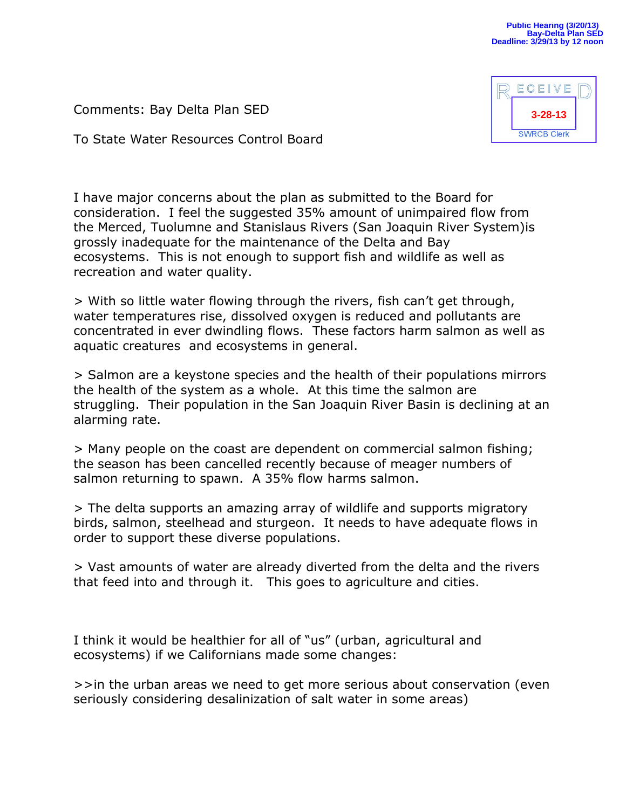Comments: Bay Delta Plan SED

To State Water Resources Control Board



I have major concerns about the plan as submitted to the Board for consideration. I feel the suggested 35% amount of unimpaired flow from the Merced, Tuolumne and Stanislaus Rivers (San Joaquin River System)is grossly inadequate for the maintenance of the Delta and Bay ecosystems. This is not enough to support fish and wildlife as well as recreation and water quality.

> With so little water flowing through the rivers, fish can't get through, water temperatures rise, dissolved oxygen is reduced and pollutants are concentrated in ever dwindling flows. These factors harm salmon as well as aquatic creatures and ecosystems in general.

> Salmon are a keystone species and the health of their populations mirrors the health of the system as a whole. At this time the salmon are struggling. Their population in the San Joaquin River Basin is declining at an alarming rate.

> Many people on the coast are dependent on commercial salmon fishing; the season has been cancelled recently because of meager numbers of salmon returning to spawn. A 35% flow harms salmon.

> The delta supports an amazing array of wildlife and supports migratory birds, salmon, steelhead and sturgeon. It needs to have adequate flows in order to support these diverse populations.

> Vast amounts of water are already diverted from the delta and the rivers that feed into and through it. This goes to agriculture and cities.

I think it would be healthier for all of "us" (urban, agricultural and ecosystems) if we Californians made some changes:

>>in the urban areas we need to get more serious about conservation (even seriously considering desalinization of salt water in some areas)